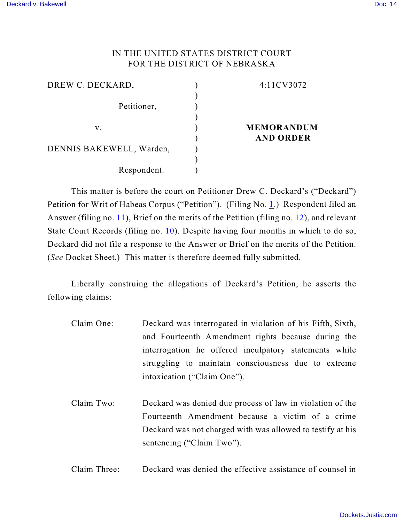# IN THE UNITED STATES DISTRICT COURT FOR THE DISTRICT OF NEBRASKA

| DREW C. DECKARD,         | 4:11CV3072        |
|--------------------------|-------------------|
|                          |                   |
| Petitioner,              |                   |
|                          |                   |
| v.                       | <b>MEMORANDUM</b> |
|                          | <b>AND ORDER</b>  |
| DENNIS BAKEWELL, Warden, |                   |
|                          |                   |
| Respondent.              |                   |

This matter is before the court on Petitioner Drew C. Deckard's ("Deckard") Petition for Writ of Habeas Corpus ("Petition"). (Filing No. [1](http://ecf.ned.uscourts.gov/doc1/11302265430).) Respondent filed an Answer (filing no. [11](http://ecf.ned.uscourts.gov/doc1/11302339769)), Brief on the merits of the Petition (filing no. [12](http://ecf.ned.uscourts.gov/doc1/11302339772)), and relevant State Court Records (filing no. [10](http://ecf.ned.uscourts.gov/doc1/11302316231)). Despite having four months in which to do so, Deckard did not file a response to the Answer or Brief on the merits of the Petition. (*See* Docket Sheet.) This matter is therefore deemed fully submitted.

Liberally construing the allegations of Deckard's Petition, he asserts the following claims:

- Claim One: Deckard was interrogated in violation of his Fifth, Sixth, and Fourteenth Amendment rights because during the interrogation he offered inculpatory statements while struggling to maintain consciousness due to extreme intoxication ("Claim One").
- Claim Two: Deckard was denied due process of law in violation of the Fourteenth Amendment because a victim of a crime Deckard was not charged with was allowed to testify at his sentencing ("Claim Two").
- Claim Three: Deckard was denied the effective assistance of counsel in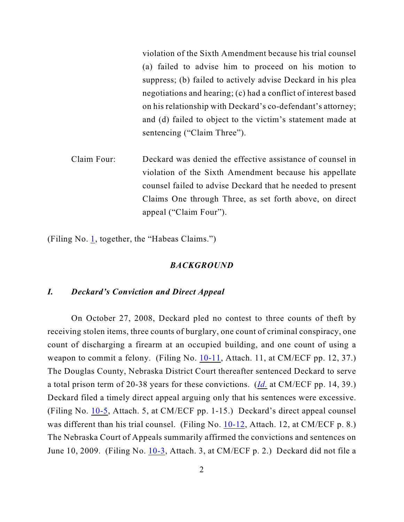violation of the Sixth Amendment because his trial counsel (a) failed to advise him to proceed on his motion to suppress; (b) failed to actively advise Deckard in his plea negotiations and hearing; (c) had a conflict of interest based on his relationship with Deckard's co-defendant's attorney; and (d) failed to object to the victim's statement made at sentencing ("Claim Three").

Claim Four: Deckard was denied the effective assistance of counsel in violation of the Sixth Amendment because his appellate counsel failed to advise Deckard that he needed to present Claims One through Three, as set forth above, on direct appeal ("Claim Four").

(Filing No. [1](http://ecf.ned.uscourts.gov/doc1/11302265430), together, the "Habeas Claims.")

### *BACKGROUND*

### *I. Deckard's Conviction and Direct Appeal*

On October 27, 2008, Deckard pled no contest to three counts of theft by receiving stolen items, three counts of burglary, one count of criminal conspiracy, one count of discharging a firearm at an occupied building, and one count of using a weapon to commit a felony. (Filing No. [10-11](https://ecf.ned.uscourts.gov/doc1/11312316242), Attach. 11, at CM/ECF pp. 12, 37.) The Douglas County, Nebraska District Court thereafter sentenced Deckard to serve a total prison term of 20-38 years for these convictions. (*[Id.](https://ecf.ned.uscourts.gov/doc1/11312316242)* at CM/ECF pp. 14, 39.) Deckard filed a timely direct appeal arguing only that his sentences were excessive. (Filing No. [10-5](https://ecf.ned.uscourts.gov/doc1/11312316236), Attach. 5, at CM/ECF pp. 1-15.) Deckard's direct appeal counsel was different than his trial counsel. (Filing No. [10-12](https://ecf.ned.uscourts.gov/doc1/11312316243), Attach. 12, at CM/ECF p. 8.) The Nebraska Court of Appeals summarily affirmed the convictions and sentences on June 10, 2009. (Filing No. [10-3](https://ecf.ned.uscourts.gov/doc1/11312316234), Attach. 3, at CM/ECF p. 2.) Deckard did not file a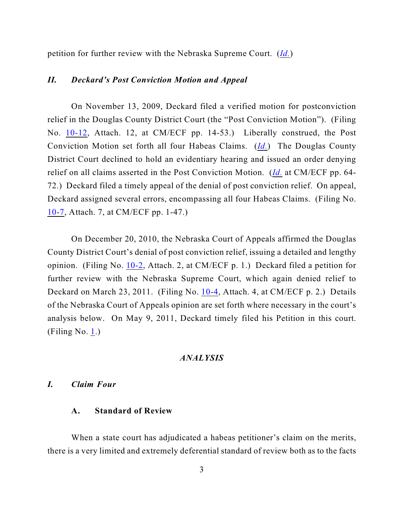petition for further review with the Nebraska Supreme Court. (*[Id.](https://ecf.ned.uscourts.gov/doc1/11312316234)*)

### *II. Deckard's Post Conviction Motion and Appeal*

On November 13, 2009, Deckard filed a verified motion for postconviction relief in the Douglas County District Court (the "Post Conviction Motion"). (Filing No. [10-12](https://ecf.ned.uscourts.gov/doc1/11312316243), Attach. 12, at CM/ECF pp. 14-53.) Liberally construed, the Post Conviction Motion set forth all four Habeas Claims. (*[Id.](https://ecf.ned.uscourts.gov/doc1/11312316243)*) The Douglas County District Court declined to hold an evidentiary hearing and issued an order denying relief on all claims asserted in the Post Conviction Motion. (*[Id.](https://ecf.ned.uscourts.gov/doc1/11312316243)* at CM/ECF pp. 64- 72.) Deckard filed a timely appeal of the denial of post conviction relief. On appeal, Deckard assigned several errors, encompassing all four Habeas Claims. (Filing No. [10-7](https://ecf.ned.uscourts.gov/doc1/11312316238), Attach. 7, at CM/ECF pp. 1-47.)

On December 20, 2010, the Nebraska Court of Appeals affirmed the Douglas County District Court's denial of post conviction relief, issuing a detailed and lengthy opinion. (Filing No. [10-2](https://ecf.ned.uscourts.gov/doc1/11312316233), Attach. 2, at CM/ECF p. 1.) Deckard filed a petition for further review with the Nebraska Supreme Court, which again denied relief to Deckard on March 23, 2011. (Filing No. [10-4](https://ecf.ned.uscourts.gov/doc1/11312316235), Attach. 4, at CM/ECF p. 2.) Details of the Nebraska Court of Appeals opinion are set forth where necessary in the court's analysis below. On May 9, 2011, Deckard timely filed his Petition in this court. (Filing No. [1](http://ecf.ned.uscourts.gov/doc1/11302265430).)

### *ANALYSIS*

### *I. Claim Four*

### **A. Standard of Review**

When a state court has adjudicated a habeas petitioner's claim on the merits, there is a very limited and extremely deferential standard of review both as to the facts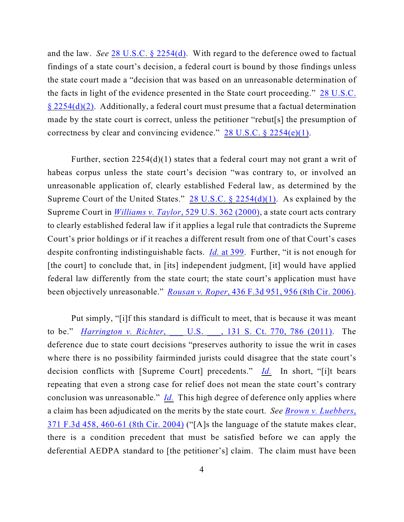and the law. *See* [28 U.S.C. § 2254\(d\)](http://www.westlaw.com/find/default.wl?rs=CLWP3.0&vr=2.0&cite=28+USCA+s+2254%28d%29). With regard to the deference owed to factual findings of a state court's decision, a federal court is bound by those findings unless the state court made a "decision that was based on an unreasonable determination of the facts in light of the evidence presented in the State court proceeding." [28 U.S.C.](http://www.westlaw.com/find/default.wl?rs=CLWP3.0&vr=2.0&cite=28+USCA+s+2254%28d%29%282%29)  $\S 2254(d)(2)$ . Additionally, a federal court must presume that a factual determination made by the state court is correct, unless the petitioner "rebut[s] the presumption of correctness by clear and convincing evidence."  $28 \text{ U.S.C.}$  §  $2254(e)(1)$ .

Further, section 2254(d)(1) states that a federal court may not grant a writ of habeas corpus unless the state court's decision "was contrary to, or involved an unreasonable application of, clearly established Federal law, as determined by the Supreme Court of the United States." 28 U.S.C.  $\S$  2254(d)(1). As explained by the Supreme Court in *Williams v. Taylor*[, 529 U.S. 362 \(2000\)](http://www.westlaw.com/find/default.wl?rs=CLWP3.0&vr=2.0&cite=529+U.S.+362), a state court acts contrary to clearly established federal law if it applies a legal rule that contradicts the Supreme Court's prior holdings or if it reaches a different result from one of that Court's cases despite confronting indistinguishable facts. *Id.* [at 399](http://www.westlaw.com/find/default.wl?rs=CLWP3.0&vr=2.0&cite=529+U.S.+399). Further, "it is not enough for [the court] to conclude that, in [its] independent judgment, [it] would have applied federal law differently from the state court; the state court's application must have been objectively unreasonable." *Rousan v. Roper*[, 436 F.3d 951, 956 \(8th Cir. 2006\)](http://web2.westlaw.com/find/default.wl?fn=_top&rs=WLW8.10&rp=%2ffind%2fdefault.wl&vr=2.0&sv=Split&cite=436+F.3d+956+).

Put simply, "[i]f this standard is difficult to meet, that is because it was meant to be." *Harrington v. Richter*[, \\_\\_\\_ U.S. \\_\\_\\_, 131 S. Ct. 770, 786 \(2011\)](http://web2.westlaw.com/find/default.wl?fn=_top&rs=WLW11.01&rp=%2ffind%2fdefault.wl&mt=Westlaw&vr=2.0&sv=Split&cite=131+s+ct+770). The deference due to state court decisions "preserves authority to issue the writ in cases where there is no possibility fairminded jurists could disagree that the state court's decision conflicts with [Supreme Court] precedents." *[Id.](http://web2.westlaw.com/find/default.wl?fn=_top&rs=WLW11.01&rp=%2ffind%2fdefault.wl&mt=Westlaw&vr=2.0&sv=Split&cite=131+s+ct+786)* In short, "[i]t bears repeating that even a strong case for relief does not mean the state court's contrary conclusion was unreasonable." *[Id.](http://web2.westlaw.com/find/default.wl?fn=_top&rs=WLW11.01&rp=%2ffind%2fdefault.wl&mt=Westlaw&vr=2.0&sv=Split&cite=131+s+ct+786)* This high degree of deference only applies where a claim has been adjudicated on the merits by the state court. *See [Brown v. Luebbers](http://www.westlaw.com/find/default.wl?rs=CLWP3.0&vr=2.0&cite=371+F.3d+458)*, [371 F.3d 458, 460-61 \(8th Cir. 2004\)](http://www.westlaw.com/find/default.wl?rs=CLWP3.0&vr=2.0&cite=371+F.3d+458) ("[A]s the language of the statute makes clear, there is a condition precedent that must be satisfied before we can apply the deferential AEDPA standard to [the petitioner's] claim. The claim must have been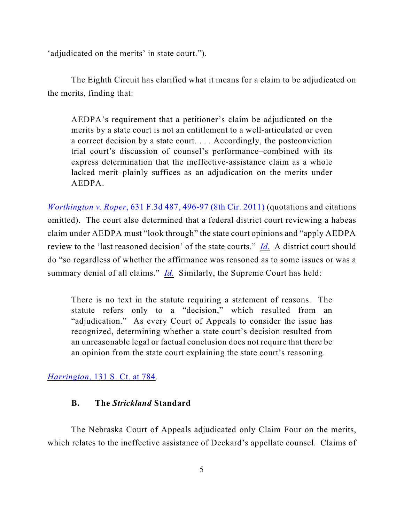'adjudicated on the merits' in state court.").

The Eighth Circuit has clarified what it means for a claim to be adjudicated on the merits, finding that:

AEDPA's requirement that a petitioner's claim be adjudicated on the merits by a state court is not an entitlement to a well-articulated or even a correct decision by a state court. . . . Accordingly, the postconviction trial court's discussion of counsel's performance–combined with its express determination that the ineffective-assistance claim as a whole lacked merit–plainly suffices as an adjudication on the merits under AEDPA.

*Worthington v. Roper*[, 631 F.3d 487, 496-97 \(8th Cir. 2011\)](http://web2.westlaw.com/find/default.wl?cite=631+F3d+496&rs=WLW12.01&vr=2.0&rp=%2ffind%2fdefault.wl&sv=Split&fn=_top&mt=Westlaw) (quotations and citations omitted). The court also determined that a federal district court reviewing a habeas claim under AEDPA must "look through" the state court opinions and "apply AEDPA review to the 'last reasoned decision' of the state courts." *[Id.](http://web2.westlaw.com/find/default.wl?cite=631+F3d+496&rs=WLW12.01&vr=2.0&rp=%2ffind%2fdefault.wl&sv=Split&fn=_top&mt=Westlaw)* A district court should do "so regardless of whether the affirmance was reasoned as to some issues or was a summary denial of all claims." *[Id.](http://web2.westlaw.com/find/default.wl?cite=631+F3d+496&rs=WLW12.01&vr=2.0&rp=%2ffind%2fdefault.wl&sv=Split&fn=_top&mt=Westlaw)* Similarly, the Supreme Court has held:

There is no text in the statute requiring a statement of reasons. The statute refers only to a "decision," which resulted from an "adjudication." As every Court of Appeals to consider the issue has recognized, determining whether a state court's decision resulted from an unreasonable legal or factual conclusion does not require that there be an opinion from the state court explaining the state court's reasoning.

### *Harrington*[, 131 S. Ct. at 784](http://web2.westlaw.com/find/default.wl?fn=_top&rs=WLW11.01&rp=%2ffind%2fdefault.wl&mt=Westlaw&vr=2.0&sv=Split&cite=131+s+ct+770).

## **B. The** *Strickland* **Standard**

The Nebraska Court of Appeals adjudicated only Claim Four on the merits, which relates to the ineffective assistance of Deckard's appellate counsel. Claims of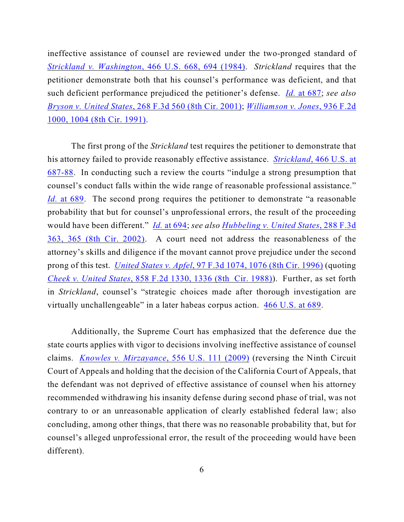ineffective assistance of counsel are reviewed under the two-pronged standard of *Strickland v. Washington*[, 466 U.S. 668, 694 \(1984\)](http://www.westlaw.com/find/default.wl?rs=CLWP3.0&vr=2.0&cite=466+U.S.+668). *Strickland* requires that the petitioner demonstrate both that his counsel's performance was deficient, and that such deficient performance prejudiced the petitioner's defense. *Id.* [at 687](http://www.westlaw.com/find/default.wl?rs=CLWP3.0&vr=2.0&cite=466+U.S.+687); *see also Bryson v. United States*[, 268 F.3d 560 \(8th Cir. 2001\)](http://www.westlaw.com/find/default.wl?rs=CLWP3.0&vr=2.0&cite=268+F.3d+560); *[Williamson v. Jones](http://www.westlaw.com/find/default.wl?rs=CLWP3.0&vr=2.0&cite=936+F.2d+1000)*, 936 F.2d [1000, 1004 \(8th Cir. 1991\)](http://www.westlaw.com/find/default.wl?rs=CLWP3.0&vr=2.0&cite=936+F.2d+1000).

The first prong of the *Strickland* test requires the petitioner to demonstrate that his attorney failed to provide reasonably effective assistance. *Strickland*[, 466 U.S. at](http://web2.westlaw.com/find/default.wl?fn=_top&rs=WLW8.10&rp=%2ffind%2fdefault.wl&vr=2.0&sv=Split&cite=466+U.S.+687+) [687-88](http://web2.westlaw.com/find/default.wl?fn=_top&rs=WLW8.10&rp=%2ffind%2fdefault.wl&vr=2.0&sv=Split&cite=466+U.S.+687+). In conducting such a review the courts "indulge a strong presumption that counsel's conduct falls within the wide range of reasonable professional assistance." *Id.* [at 689](http://web2.westlaw.com/find/default.wl?fn=_top&rs=WLW8.10&rp=%2ffind%2fdefault.wl&vr=2.0&sv=Split&cite=466+U.S.+689). The second prong requires the petitioner to demonstrate "a reasonable" probability that but for counsel's unprofessional errors, the result of the proceeding would have been different." *Id.* [at 694](http://www.westlaw.com/find/default.wl?rs=CLWP3.0&vr=2.0&cite=466+U.S.+694); *see also [Hubbeling v. United States](http://web2.westlaw.com/find/default.wl?fn=_top&rs=WLW8.10&rp=%2ffind%2fdefault.wl&vr=2.0&cite=288+F.3d+365+)*, 288 F.3d [363, 365 \(8th Cir. 2002\)](http://web2.westlaw.com/find/default.wl?fn=_top&rs=WLW8.10&rp=%2ffind%2fdefault.wl&vr=2.0&cite=288+F.3d+365+). A court need not address the reasonableness of the attorney's skills and diligence if the movant cannot prove prejudice under the second prong of this test. *United States v. Apfel*[, 97 F.3d 1074, 1076 \(8th Cir. 1996\)](http://web2.westlaw.com/find/default.wl?fn=_top&rs=WLW8.10&rp=%2ffind%2fdefault.wl&vr=2.0&cite=97+F.3d+1076+) (quoting *Cheek v. United States*[, 858 F.2d 1330, 1336 \(8th Cir. 1988\)](http://web2.westlaw.com/find/default.wl?fn=_top&rs=WLW8.10&rp=%2ffind%2fdefault.wl&vr=2.0&cite=858+F.2d+1336+)). Further, as set forth in *Strickland*, counsel's "strategic choices made after thorough investigation are virtually unchallengeable" in a later habeas corpus action. [466 U.S. at 689](http://www.westlaw.com/find/default.wl?rs=CLWP3.0&vr=2.0&cite=466+U.S.+689).

Additionally, the Supreme Court has emphasized that the deference due the state courts applies with vigor to decisions involving ineffective assistance of counsel claims. *[Knowles v. Mirzayance](http://web2.westlaw.com/find/default.wl?fn=_top&rs=WLW9.06&rp=%2ffind%2fdefault.wl&ifm=NotSet&vr=2.0&cite=129+s+ct+1418)*, 556 U.S. 111 (2009) (reversing the Ninth Circuit Court of Appeals and holding that the decision of the California Court of Appeals, that the defendant was not deprived of effective assistance of counsel when his attorney recommended withdrawing his insanity defense during second phase of trial, was not contrary to or an unreasonable application of clearly established federal law; also concluding, among other things, that there was no reasonable probability that, but for counsel's alleged unprofessional error, the result of the proceeding would have been different).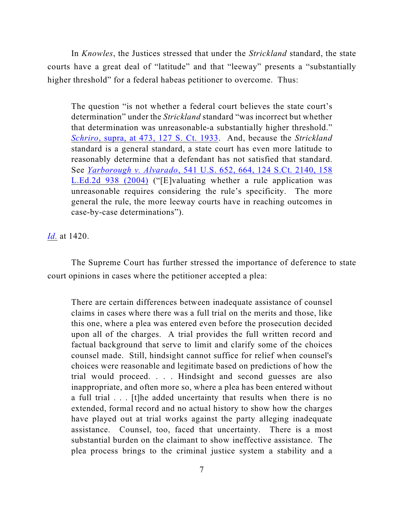In *Knowles*, the Justices stressed that under the *Strickland* standard, the state courts have a great deal of "latitude" and that "leeway" presents a "substantially higher threshold" for a federal habeas petitioner to overcome. Thus:

The question "is not whether a federal court believes the state court's determination" under the *Strickland* standard "was incorrect but whether that determination was unreasonable-a substantially higher threshold." *Schriro*[, supra, at 473, 127 S. Ct. 1933](http://web2.westlaw.com/find/default.wl?rs=CLWP3.0&vr=2.0&cite=127+S.Ct.+1933&ssl=n). And, because the *Strickland* standard is a general standard, a state court has even more latitude to reasonably determine that a defendant has not satisfied that standard. See *Yarborough v. Alvarado*[, 541 U.S. 652, 664, 124 S.Ct. 2140, 158](http://www.westlaw.com/find/default.wl?rs=CLWP3.0&vr=2.0&cite=541+U.S.+652) [L.Ed.2d 938 \(2004\)](http://www.westlaw.com/find/default.wl?rs=CLWP3.0&vr=2.0&cite=541+U.S.+652) ("[E]valuating whether a rule application was unreasonable requires considering the rule's specificity. The more general the rule, the more leeway courts have in reaching outcomes in case-by-case determinations").

*[Id.](http://web2.westlaw.com/find/default.wl?fn=_top&rs=WLW9.06&rp=%2ffind%2fdefault.wl&ifm=NotSet&vr=2.0&cite=129+s+ct+1420)* at 1420.

The Supreme Court has further stressed the importance of deference to state court opinions in cases where the petitioner accepted a plea:

There are certain differences between inadequate assistance of counsel claims in cases where there was a full trial on the merits and those, like this one, where a plea was entered even before the prosecution decided upon all of the charges. A trial provides the full written record and factual background that serve to limit and clarify some of the choices counsel made. Still, hindsight cannot suffice for relief when counsel's choices were reasonable and legitimate based on predictions of how the trial would proceed. . . . Hindsight and second guesses are also inappropriate, and often more so, where a plea has been entered without a full trial . . . [t]he added uncertainty that results when there is no extended, formal record and no actual history to show how the charges have played out at trial works against the party alleging inadequate assistance. Counsel, too, faced that uncertainty. There is a most substantial burden on the claimant to show ineffective assistance. The plea process brings to the criminal justice system a stability and a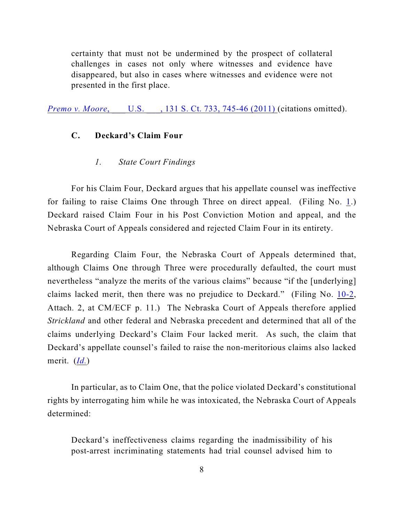certainty that must not be undermined by the prospect of collateral challenges in cases not only where witnesses and evidence have disappeared, but also in cases where witnesses and evidence were not presented in the first place.

*Premo v. Moore*, U.S. , 131 S. Ct. 733, 745-46 (2011) (citations omitted).

## **C. Deckard's Claim Four**

#### *1. State Court Findings*

For his Claim Four, Deckard argues that his appellate counsel was ineffective for failing to raise Claims One through Three on direct appeal. (Filing No. [1](http://ecf.ned.uscourts.gov/doc1/11302265430).) Deckard raised Claim Four in his Post Conviction Motion and appeal, and the Nebraska Court of Appeals considered and rejected Claim Four in its entirety.

Regarding Claim Four, the Nebraska Court of Appeals determined that, although Claims One through Three were procedurally defaulted, the court must nevertheless "analyze the merits of the various claims" because "if the [underlying] claims lacked merit, then there was no prejudice to Deckard." (Filing No. [10-2](https://ecf.ned.uscourts.gov/doc1/11312316233), Attach. 2, at CM/ECF p. 11.) The Nebraska Court of Appeals therefore applied *Strickland* and other federal and Nebraska precedent and determined that all of the claims underlying Deckard's Claim Four lacked merit. As such, the claim that Deckard's appellate counsel's failed to raise the non-meritorious claims also lacked merit. (*[Id.](https://ecf.ned.uscourts.gov/doc1/11312316233)*)

In particular, as to Claim One, that the police violated Deckard's constitutional rights by interrogating him while he was intoxicated, the Nebraska Court of Appeals determined:

Deckard's ineffectiveness claims regarding the inadmissibility of his post-arrest incriminating statements had trial counsel advised him to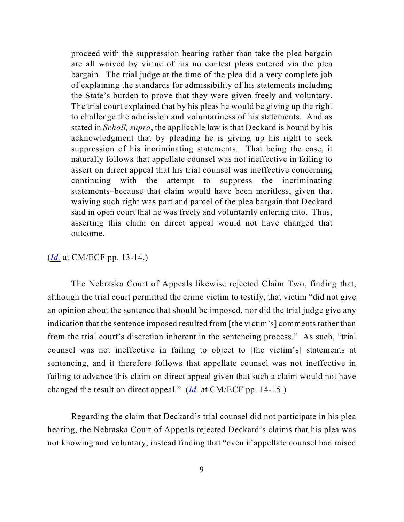proceed with the suppression hearing rather than take the plea bargain are all waived by virtue of his no contest pleas entered via the plea bargain. The trial judge at the time of the plea did a very complete job of explaining the standards for admissibility of his statements including the State's burden to prove that they were given freely and voluntary. The trial court explained that by his pleas he would be giving up the right to challenge the admission and voluntariness of his statements. And as stated in *Scholl, supra*, the applicable law is that Deckard is bound by his acknowledgment that by pleading he is giving up his right to seek suppression of his incriminating statements. That being the case, it naturally follows that appellate counsel was not ineffective in failing to assert on direct appeal that his trial counsel was ineffective concerning continuing with the attempt to suppress the incriminating statements–because that claim would have been meritless, given that waiving such right was part and parcel of the plea bargain that Deckard said in open court that he was freely and voluntarily entering into. Thus, asserting this claim on direct appeal would not have changed that outcome.

(*[Id.](https://ecf.ned.uscourts.gov/doc1/11312316233)* at CM/ECF pp. 13-14.)

The Nebraska Court of Appeals likewise rejected Claim Two, finding that, although the trial court permitted the crime victim to testify, that victim "did not give an opinion about the sentence that should be imposed, nor did the trial judge give any indication that the sentence imposed resulted from [the victim's] comments rather than from the trial court's discretion inherent in the sentencing process." As such, "trial counsel was not ineffective in failing to object to [the victim's] statements at sentencing, and it therefore follows that appellate counsel was not ineffective in failing to advance this claim on direct appeal given that such a claim would not have changed the result on direct appeal." (*[Id.](https://ecf.ned.uscourts.gov/doc1/11312316233)* at CM/ECF pp. 14-15.)

Regarding the claim that Deckard's trial counsel did not participate in his plea hearing, the Nebraska Court of Appeals rejected Deckard's claims that his plea was not knowing and voluntary, instead finding that "even if appellate counsel had raised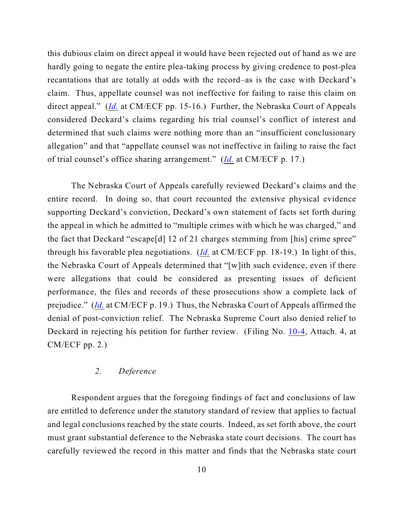this dubious claim on direct appeal it would have been rejected out of hand as we are hardly going to negate the entire plea-taking process by giving credence to post-plea recantations that are totally at odds with the record–as is the case with Deckard's claim. Thus, appellate counsel was not ineffective for failing to raise this claim on direct appeal." (*[Id.](https://ecf.ned.uscourts.gov/doc1/11312316233)* at CM/ECF pp. 15-16.) Further, the Nebraska Court of Appeals considered Deckard's claims regarding his trial counsel's conflict of interest and determined that such claims were nothing more than an "insufficient conclusionary allegation" and that "appellate counsel was not ineffective in failing to raise the fact of trial counsel's office sharing arrangement." (*[Id.](https://ecf.ned.uscourts.gov/doc1/11312316233)* at CM/ECF p. 17.)

The Nebraska Court of Appeals carefully reviewed Deckard's claims and the entire record. In doing so, that court recounted the extensive physical evidence supporting Deckard's conviction, Deckard's own statement of facts set forth during the appeal in which he admitted to "multiple crimes with which he was charged," and the fact that Deckard "escape[d] 12 of 21 charges stemming from [his] crime spree" through his favorable plea negotiations. (*[Id.](https://ecf.ned.uscourts.gov/doc1/11312316233)* at CM/ECF pp. 18-19.) In light of this, the Nebraska Court of Appeals determined that "[w]ith such evidence, even if there were allegations that could be considered as presenting issues of deficient performance, the files and records of these prosecutions show a complete lack of prejudice." (*[Id.](https://ecf.ned.uscourts.gov/doc1/11312316233)* at CM/ECF p. 19.) Thus, the Nebraska Court of Appeals affirmed the denial of post-conviction relief. The Nebraska Supreme Court also denied relief to Deckard in rejecting his petition for further review. (Filing No. [10-4](https://ecf.ned.uscourts.gov/doc1/11312316235), Attach. 4, at CM/ECF pp. 2.)

## *2. Deference*

Respondent argues that the foregoing findings of fact and conclusions of law are entitled to deference under the statutory standard of review that applies to factual and legal conclusions reached by the state courts. Indeed, as set forth above, the court must grant substantial deference to the Nebraska state court decisions. The court has carefully reviewed the record in this matter and finds that the Nebraska state court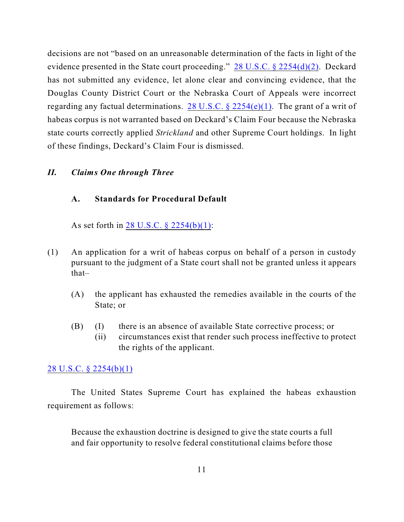decisions are not "based on an unreasonable determination of the facts in light of the evidence presented in the State court proceeding." [28 U.S.C. § 2254\(d\)\(2\)](http://web2.westlaw.com/find/default.wl?fn=_top&rs=WLW8.10&rp=%2ffind%2fdefault.wl&vr=2.0&cite=28+U.S.C.+%c2%a7+2254(d)(2)). Deckard has not submitted any evidence, let alone clear and convincing evidence, that the Douglas County District Court or the Nebraska Court of Appeals were incorrect regarding any factual determinations. 28 U.S.C.  $\S$  2254(e)(1). The grant of a writ of habeas corpus is not warranted based on Deckard's Claim Four because the Nebraska state courts correctly applied *Strickland* and other Supreme Court holdings. In light of these findings, Deckard's Claim Four is dismissed.

#### *II. Claims One through Three*

### **A. Standards for Procedural Default**

As set forth in [28 U.S.C. § 2254\(b\)\(1\)](http://web2.westlaw.com/find/default.wl?fn=_top&rs=WLW8.10&rp=%2ffind%2fdefault.wl&mt=Westlaw&vr=2.0&sv=Split&cite=28+usc+2254(b)(1)):

- (1) An application for a writ of habeas corpus on behalf of a person in custody pursuant to the judgment of a State court shall not be granted unless it appears that–
	- (A) the applicant has exhausted the remedies available in the courts of the State; or
	- (B) (I) there is an absence of available State corrective process; or
		- (ii) circumstances exist that render such process ineffective to protect the rights of the applicant.

#### [28 U.S.C. § 2254\(b\)\(1\)](http://web2.westlaw.com/find/default.wl?fn=_top&rs=WLW8.10&rp=%2ffind%2fdefault.wl&mt=Westlaw&vr=2.0&sv=Split&cite=28+usc+2254(b)(1))

The United States Supreme Court has explained the habeas exhaustion requirement as follows:

Because the exhaustion doctrine is designed to give the state courts a full and fair opportunity to resolve federal constitutional claims before those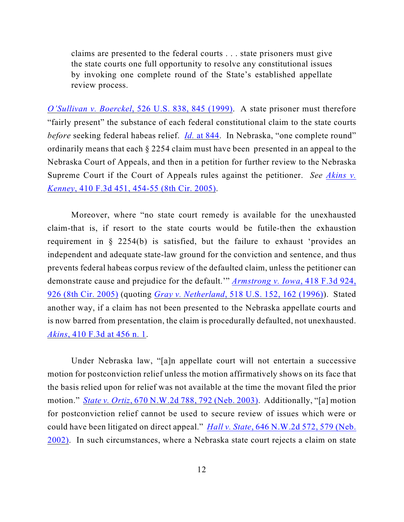claims are presented to the federal courts . . . state prisoners must give the state courts one full opportunity to resolve any constitutional issues by invoking one complete round of the State's established appellate review process.

*O'Sullivan v. Boerckel*[, 526 U.S. 838, 845 \(1999\)](http://web2.westlaw.com/find/default.wl?fn=_top&rs=WLW8.10&rp=%2ffind%2fdefault.wl&mt=Westlaw&vr=2.0&sv=Split&cite=526+us+845). A state prisoner must therefore "fairly present" the substance of each federal constitutional claim to the state courts *before* seeking federal habeas relief. *Id.* [at 844](file:///|//v). In Nebraska, "one complete round" ordinarily means that each § 2254 claim must have been presented in an appeal to the Nebraska Court of Appeals, and then in a petition for further review to the Nebraska Supreme Court if the Court of Appeals rules against the petitioner. *See [Akins v.](http://web2.westlaw.com/find/default.wl?fn=_top&rs=WLW8.10&rp=%2ffind%2fdefault.wl&mt=Westlaw&vr=2.0&sv=Split&cite=410+f+3d+454) Kenney*[, 410 F.3d 451, 454-55 \(8th Cir. 2005\)](http://web2.westlaw.com/find/default.wl?fn=_top&rs=WLW8.10&rp=%2ffind%2fdefault.wl&mt=Westlaw&vr=2.0&sv=Split&cite=410+f+3d+454).

Moreover, where "no state court remedy is available for the unexhausted claim-that is, if resort to the state courts would be futile-then the exhaustion requirement in § 2254(b) is satisfied, but the failure to exhaust 'provides an independent and adequate state-law ground for the conviction and sentence, and thus prevents federal habeas corpus review of the defaulted claim, unless the petitioner can demonstrate cause and prejudice for the default.'" *[Armstrong v. Iowa](http://web2.westlaw.com/find/default.wl?ifm=NotSet&rp=%2ffind%2fdefault.wl&sv=Split&rs=WLW9.08&cite=418+f+3d+926&fn=_top&mt=Westlaw&vr=2.0)*, 418 F.3d 924, [926 \(8th Cir. 2005\)](http://web2.westlaw.com/find/default.wl?ifm=NotSet&rp=%2ffind%2fdefault.wl&sv=Split&rs=WLW9.08&cite=418+f+3d+926&fn=_top&mt=Westlaw&vr=2.0) (quoting *Gray v. Netherland*[, 518 U.S. 152, 162 \(1996\)](http://web2.westlaw.com/find/default.wl?ifm=NotSet&rp=%2ffind%2fdefault.wl&sv=Split&rs=WLW9.08&cite=518+us+162&fn=_top&mt=Westlaw&vr=2.0)). Stated another way, if a claim has not been presented to the Nebraska appellate courts and is now barred from presentation, the claim is procedurally defaulted, not unexhausted. *Akins*[, 410 F.3d at 456 n. 1](http://web2.westlaw.com/find/default.wl?fn=_top&rs=WLW8.10&rp=%2ffind%2fdefault.wl&mt=Westlaw&vr=2.0&sv=Split&cite=410+f+3d+454).

Under Nebraska law, "[a]n appellate court will not entertain a successive motion for postconviction relief unless the motion affirmatively shows on its face that the basis relied upon for relief was not available at the time the movant filed the prior motion." *State v. Ortiz*[, 670 N.W.2d 788, 792 \(Neb. 2003\)](http://web2.westlaw.com/find/default.wl?fn=_top&rs=WLW8.10&rp=%2ffind%2fdefault.wl&mt=Westlaw&vr=2.0&sv=Split&cite=670+nw+2d+792). Additionally, "[a] motion for postconviction relief cannot be used to secure review of issues which were or could have been litigated on direct appeal." *Hall v. State*[, 646 N.W.2d 572, 579 \(Neb.](http://web2.westlaw.com/find/default.wl?ifm=NotSet&rp=%2ffind%2fdefault.wl&sv=Split&rs=WLW9.10&cite=646+nw2d+572&fn=_top&mt=Westlaw&vr=2.0) [2002\)](http://web2.westlaw.com/find/default.wl?ifm=NotSet&rp=%2ffind%2fdefault.wl&sv=Split&rs=WLW9.10&cite=646+nw2d+572&fn=_top&mt=Westlaw&vr=2.0). In such circumstances, where a Nebraska state court rejects a claim on state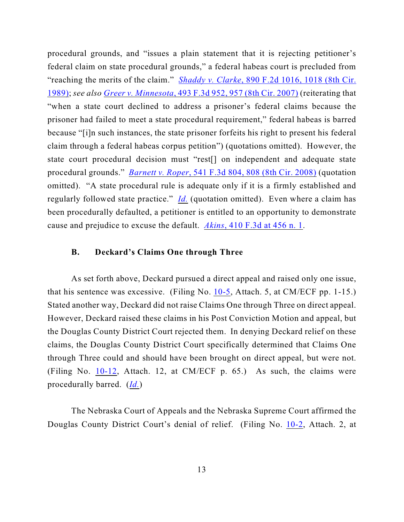procedural grounds, and "issues a plain statement that it is rejecting petitioner's federal claim on state procedural grounds," a federal habeas court is precluded from "reaching the merits of the claim." *Shaddy v. Clarke*[, 890 F.2d 1016, 1018 \(8th Cir.](http://web2.westlaw.com/find/default.wl?ifm=NotSet&rp=%2ffind%2fdefault.wl&sv=Split&rs=WLW9.08&cite=890+f+2d+1018&fn=_top&mt=Westlaw&vr=2.0) [1989\)](http://web2.westlaw.com/find/default.wl?ifm=NotSet&rp=%2ffind%2fdefault.wl&sv=Split&rs=WLW9.08&cite=890+f+2d+1018&fn=_top&mt=Westlaw&vr=2.0); *see also Greer v. Minnesota*[, 493 F.3d 952, 957 \(8th Cir. 2007\)](http://web2.westlaw.com/find/default.wl?rs=WLW9.09&ifm=NotSet&fn=_top&sv=Split&pbc=408EF548&cite=493+f+3d+957&vr=2.0&rp=%2ffind%2fdefault.wl&mt=Westlaw) (reiterating that "when a state court declined to address a prisoner's federal claims because the prisoner had failed to meet a state procedural requirement," federal habeas is barred because "[i]n such instances, the state prisoner forfeits his right to present his federal claim through a federal habeas corpus petition") (quotations omitted). However, the state court procedural decision must "rest[] on independent and adequate state procedural grounds." *Barnett v. Roper*[, 541 F.3d 804, 808 \(8th Cir. 2008\)](http://ecf.ned.uscourts.gov/doc1/11302056790) (quotation omitted). "A state procedural rule is adequate only if it is a firmly established and regularly followed state practice." *[Id.](http://web2.westlaw.com/find/default.wl?ifm=NotSet&rp=%2ffind%2fdefault.wl&sv=Split&rs=WLW9.10&cite=541+f+3d+808&fn=_top&mt=Westlaw&vr=2.0)* (quotation omitted). Even where a claim has been procedurally defaulted, a petitioner is entitled to an opportunity to demonstrate cause and prejudice to excuse the default. *Akins*[, 410 F.3d at 456 n. 1](http://web2.westlaw.com/find/default.wl?fn=_top&rs=WLW8.10&rp=%2ffind%2fdefault.wl&mt=Westlaw&vr=2.0&sv=Split&cite=410+f+3d+454).

### **B. Deckard's Claims One through Three**

As set forth above, Deckard pursued a direct appeal and raised only one issue, that his sentence was excessive. (Filing No. [10-5](https://ecf.ned.uscourts.gov/doc1/11312316236), Attach. 5, at CM/ECF pp. 1-15.) Stated another way, Deckard did not raise Claims One through Three on direct appeal. However, Deckard raised these claims in his Post Conviction Motion and appeal, but the Douglas County District Court rejected them. In denying Deckard relief on these claims, the Douglas County District Court specifically determined that Claims One through Three could and should have been brought on direct appeal, but were not. (Filing No. [10-12](https://ecf.ned.uscourts.gov/doc1/11312316243), Attach. 12, at CM/ECF p. 65.) As such, the claims were procedurally barred. (*[Id.](https://ecf.ned.uscourts.gov/doc1/11312316243)*)

The Nebraska Court of Appeals and the Nebraska Supreme Court affirmed the Douglas County District Court's denial of relief. (Filing No. [10-2](https://ecf.ned.uscourts.gov/doc1/11312316233), Attach. 2, at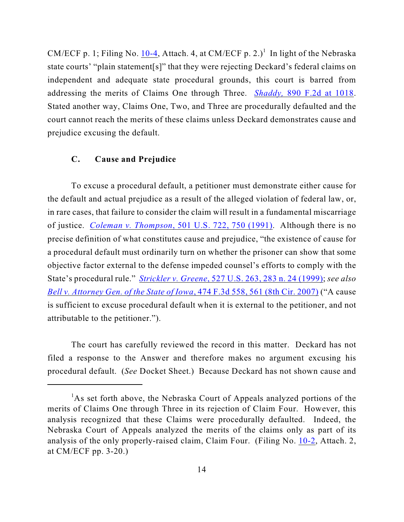CM/ECF p. 1; Filing No. [10-4](https://ecf.ned.uscourts.gov/doc1/11312316235), Attach. 4, at CM/ECF p. 2.)<sup>1</sup> In light of the Nebraska state courts' "plain statement[s]" that they were rejecting Deckard's federal claims on independent and adequate state procedural grounds, this court is barred from addressing the merits of Claims One through Three. *Shaddy,* [890 F.2d at 1018](http://web2.westlaw.com/find/default.wl?ifm=NotSet&rp=%2ffind%2fdefault.wl&sv=Split&rs=WLW9.08&cite=890+f+2d+1018&fn=_top&mt=Westlaw&vr=2.0). Stated another way, Claims One, Two, and Three are procedurally defaulted and the court cannot reach the merits of these claims unless Deckard demonstrates cause and prejudice excusing the default.

### **C. Cause and Prejudice**

To excuse a procedural default, a petitioner must demonstrate either cause for the default and actual prejudice as a result of the alleged violation of federal law, or, in rare cases, that failure to consider the claim will result in a fundamental miscarriage of justice. *Coleman v. Thompson*[, 501 U.S. 722, 750 \(1991\)](file:///|//v). Although there is no precise definition of what constitutes cause and prejudice, "the existence of cause for a procedural default must ordinarily turn on whether the prisoner can show that some objective factor external to the defense impeded counsel's efforts to comply with the State's procedural rule." *Strickler v. Greene*[, 527 U.S. 263, 283 n. 24 \(1999\)](http://web2.westlaw.com/find/default.wl?rs=WLW9.09&ifm=NotSet&fn=_top&sv=Split&cite=527+us+283&vr=2.0&rp=%2ffind%2fdefault.wl&mt=Westlaw); *see also [Bell v. Attorney Gen. of the State of Iowa](http://web2.westlaw.com/find/default.wl?rs=WLW9.09&ifm=NotSet&fn=_top&sv=Split&pbc=408EF548&cite=474+f+3d+558&vr=2.0&rp=%2ffind%2fdefault.wl&mt=Westlaw)*, 474 F.3d 558, 561 (8th Cir. 2007) ("A cause is sufficient to excuse procedural default when it is external to the petitioner, and not attributable to the petitioner.").

The court has carefully reviewed the record in this matter. Deckard has not filed a response to the Answer and therefore makes no argument excusing his procedural default. (*See* Docket Sheet.) Because Deckard has not shown cause and

 $A<sup>1</sup>$ As set forth above, the Nebraska Court of Appeals analyzed portions of the merits of Claims One through Three in its rejection of Claim Four. However, this analysis recognized that these Claims were procedurally defaulted. Indeed, the Nebraska Court of Appeals analyzed the merits of the claims only as part of its analysis of the only properly-raised claim, Claim Four. (Filing No. [10-2](https://ecf.ned.uscourts.gov/doc1/11312316233), Attach. 2, at CM/ECF pp. 3-20.)